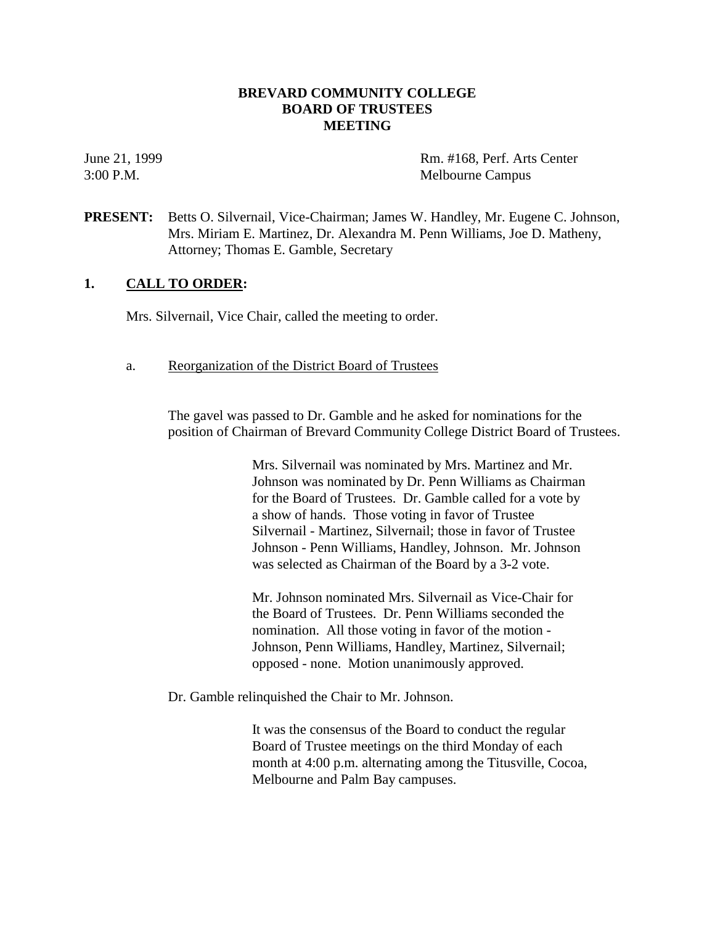# **BREVARD COMMUNITY COLLEGE BOARD OF TRUSTEES MEETING**

June 21, 1999 Rm. #168, Perf. Arts Center 3:00 P.M. Melbourne Campus

**PRESENT:** Betts O. Silvernail, Vice-Chairman; James W. Handley, Mr. Eugene C. Johnson, Mrs. Miriam E. Martinez, Dr. Alexandra M. Penn Williams, Joe D. Matheny, Attorney; Thomas E. Gamble, Secretary

# **1. CALL TO ORDER:**

Mrs. Silvernail, Vice Chair, called the meeting to order.

a. Reorganization of the District Board of Trustees

The gavel was passed to Dr. Gamble and he asked for nominations for the position of Chairman of Brevard Community College District Board of Trustees.

> Mrs. Silvernail was nominated by Mrs. Martinez and Mr. Johnson was nominated by Dr. Penn Williams as Chairman for the Board of Trustees. Dr. Gamble called for a vote by a show of hands. Those voting in favor of Trustee Silvernail - Martinez, Silvernail; those in favor of Trustee Johnson - Penn Williams, Handley, Johnson. Mr. Johnson was selected as Chairman of the Board by a 3-2 vote.

Mr. Johnson nominated Mrs. Silvernail as Vice-Chair for the Board of Trustees. Dr. Penn Williams seconded the nomination. All those voting in favor of the motion - Johnson, Penn Williams, Handley, Martinez, Silvernail; opposed - none. Motion unanimously approved.

Dr. Gamble relinquished the Chair to Mr. Johnson.

It was the consensus of the Board to conduct the regular Board of Trustee meetings on the third Monday of each month at 4:00 p.m. alternating among the Titusville, Cocoa, Melbourne and Palm Bay campuses.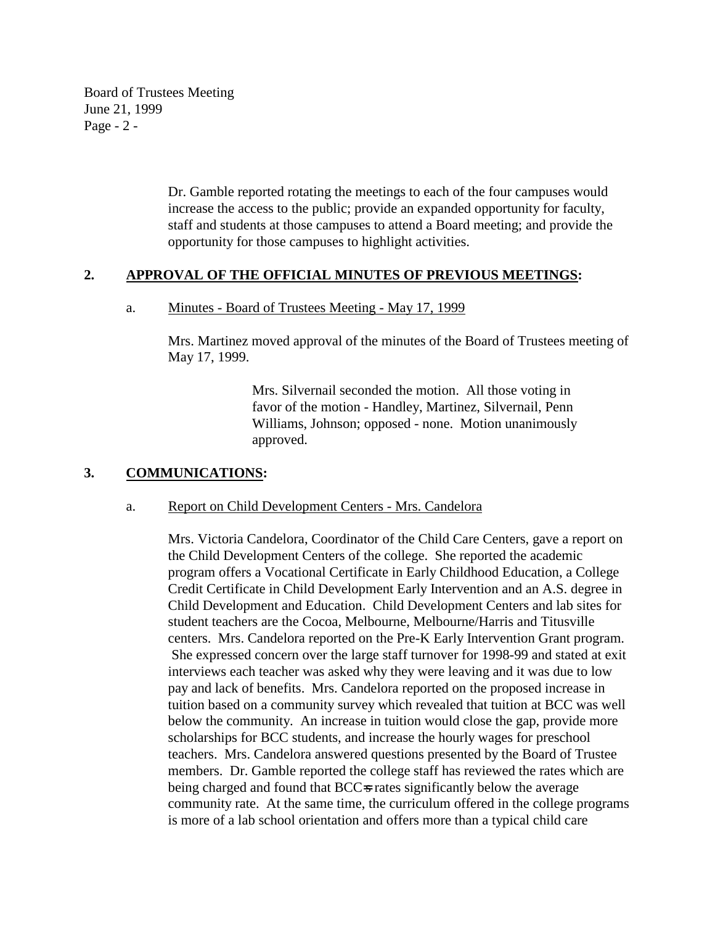Board of Trustees Meeting June 21, 1999 Page - 2 -

> Dr. Gamble reported rotating the meetings to each of the four campuses would increase the access to the public; provide an expanded opportunity for faculty, staff and students at those campuses to attend a Board meeting; and provide the opportunity for those campuses to highlight activities.

# **2. APPROVAL OF THE OFFICIAL MINUTES OF PREVIOUS MEETINGS:**

### a. Minutes - Board of Trustees Meeting - May 17, 1999

Mrs. Martinez moved approval of the minutes of the Board of Trustees meeting of May 17, 1999.

> Mrs. Silvernail seconded the motion. All those voting in favor of the motion - Handley, Martinez, Silvernail, Penn Williams, Johnson; opposed - none. Motion unanimously approved.

# **3. COMMUNICATIONS:**

#### a. Report on Child Development Centers - Mrs. Candelora

Mrs. Victoria Candelora, Coordinator of the Child Care Centers, gave a report on the Child Development Centers of the college. She reported the academic program offers a Vocational Certificate in Early Childhood Education, a College Credit Certificate in Child Development Early Intervention and an A.S. degree in Child Development and Education. Child Development Centers and lab sites for student teachers are the Cocoa, Melbourne, Melbourne/Harris and Titusville centers. Mrs. Candelora reported on the Pre-K Early Intervention Grant program. She expressed concern over the large staff turnover for 1998-99 and stated at exit interviews each teacher was asked why they were leaving and it was due to low pay and lack of benefits. Mrs. Candelora reported on the proposed increase in tuition based on a community survey which revealed that tuition at BCC was well below the community. An increase in tuition would close the gap, provide more scholarships for BCC students, and increase the hourly wages for preschool teachers. Mrs. Candelora answered questions presented by the Board of Trustee members. Dr. Gamble reported the college staff has reviewed the rates which are being charged and found that BCC=s rates significantly below the average community rate. At the same time, the curriculum offered in the college programs is more of a lab school orientation and offers more than a typical child care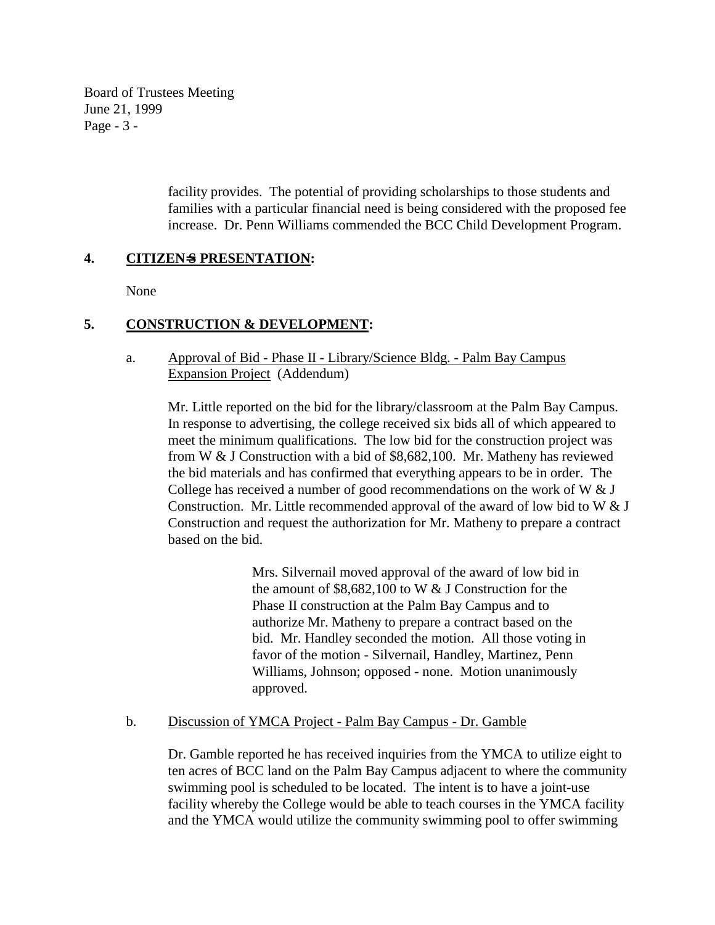Board of Trustees Meeting June 21, 1999 Page - 3 -

> facility provides. The potential of providing scholarships to those students and families with a particular financial need is being considered with the proposed fee increase. Dr. Penn Williams commended the BCC Child Development Program.

# **4. CITIZEN**=**S PRESENTATION:**

None

# **5. CONSTRUCTION & DEVELOPMENT:**

# a. Approval of Bid - Phase II - Library/Science Bldg. - Palm Bay Campus Expansion Project (Addendum)

Mr. Little reported on the bid for the library/classroom at the Palm Bay Campus. In response to advertising, the college received six bids all of which appeared to meet the minimum qualifications. The low bid for the construction project was from W & J Construction with a bid of \$8,682,100. Mr. Matheny has reviewed the bid materials and has confirmed that everything appears to be in order. The College has received a number of good recommendations on the work of W  $&$  J Construction. Mr. Little recommended approval of the award of low bid to W  $&J$ Construction and request the authorization for Mr. Matheny to prepare a contract based on the bid.

> Mrs. Silvernail moved approval of the award of low bid in the amount of  $$8,682,100$  to W & J Construction for the Phase II construction at the Palm Bay Campus and to authorize Mr. Matheny to prepare a contract based on the bid. Mr. Handley seconded the motion. All those voting in favor of the motion - Silvernail, Handley, Martinez, Penn Williams, Johnson; opposed - none. Motion unanimously approved.

# b. Discussion of YMCA Project - Palm Bay Campus - Dr. Gamble

Dr. Gamble reported he has received inquiries from the YMCA to utilize eight to ten acres of BCC land on the Palm Bay Campus adjacent to where the community swimming pool is scheduled to be located. The intent is to have a joint-use facility whereby the College would be able to teach courses in the YMCA facility and the YMCA would utilize the community swimming pool to offer swimming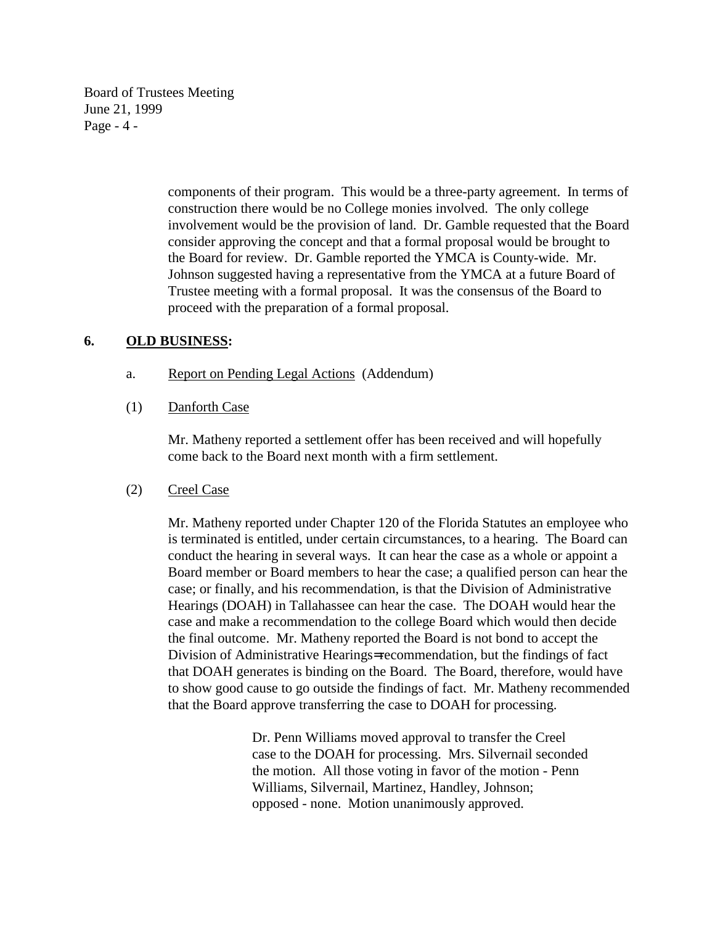Board of Trustees Meeting June 21, 1999 Page - 4 -

> components of their program. This would be a three-party agreement. In terms of construction there would be no College monies involved. The only college involvement would be the provision of land. Dr. Gamble requested that the Board consider approving the concept and that a formal proposal would be brought to the Board for review. Dr. Gamble reported the YMCA is County-wide. Mr. Johnson suggested having a representative from the YMCA at a future Board of Trustee meeting with a formal proposal. It was the consensus of the Board to proceed with the preparation of a formal proposal.

# **6. OLD BUSINESS:**

- a. Report on Pending Legal Actions (Addendum)
- (1) Danforth Case

Mr. Matheny reported a settlement offer has been received and will hopefully come back to the Board next month with a firm settlement.

# (2) Creel Case

Mr. Matheny reported under Chapter 120 of the Florida Statutes an employee who is terminated is entitled, under certain circumstances, to a hearing. The Board can conduct the hearing in several ways. It can hear the case as a whole or appoint a Board member or Board members to hear the case; a qualified person can hear the case; or finally, and his recommendation, is that the Division of Administrative Hearings (DOAH) in Tallahassee can hear the case. The DOAH would hear the case and make a recommendation to the college Board which would then decide the final outcome. Mr. Matheny reported the Board is not bond to accept the Division of Administrative Hearings= recommendation, but the findings of fact that DOAH generates is binding on the Board. The Board, therefore, would have to show good cause to go outside the findings of fact. Mr. Matheny recommended that the Board approve transferring the case to DOAH for processing.

> Dr. Penn Williams moved approval to transfer the Creel case to the DOAH for processing. Mrs. Silvernail seconded the motion. All those voting in favor of the motion - Penn Williams, Silvernail, Martinez, Handley, Johnson; opposed - none. Motion unanimously approved.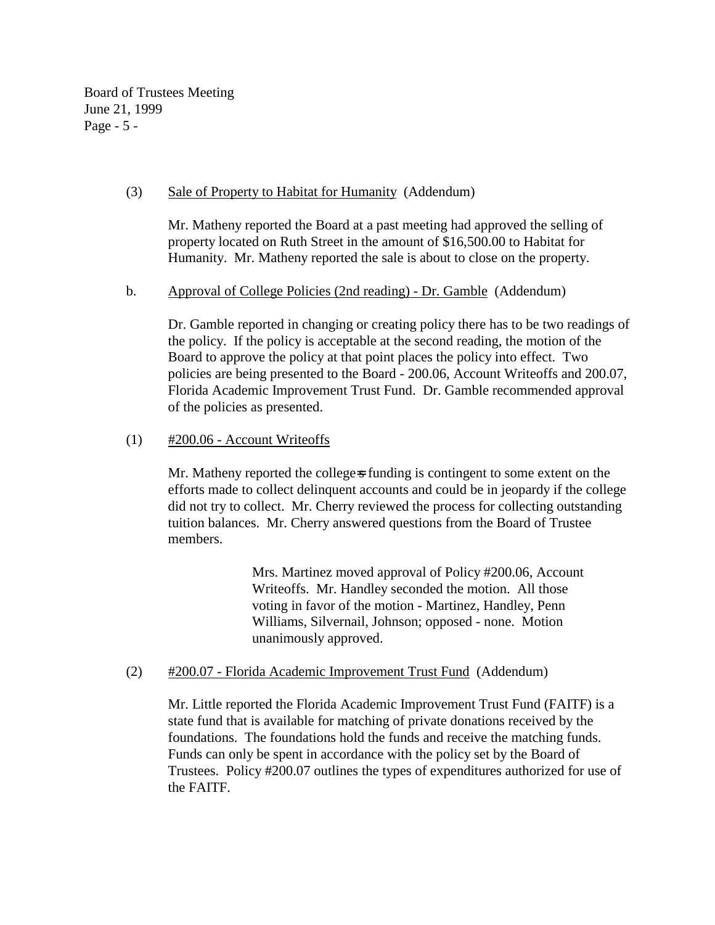Board of Trustees Meeting June 21, 1999 Page - 5 -

# (3) Sale of Property to Habitat for Humanity (Addendum)

Mr. Matheny reported the Board at a past meeting had approved the selling of property located on Ruth Street in the amount of \$16,500.00 to Habitat for Humanity. Mr. Matheny reported the sale is about to close on the property.

# b. Approval of College Policies (2nd reading) - Dr. Gamble (Addendum)

Dr. Gamble reported in changing or creating policy there has to be two readings of the policy. If the policy is acceptable at the second reading, the motion of the Board to approve the policy at that point places the policy into effect. Two policies are being presented to the Board - 200.06, Account Writeoffs and 200.07, Florida Academic Improvement Trust Fund. Dr. Gamble recommended approval of the policies as presented.

# $(1)$  #200.06 - Account Writeoffs

Mr. Matheny reported the college-s funding is contingent to some extent on the efforts made to collect delinquent accounts and could be in jeopardy if the college did not try to collect. Mr. Cherry reviewed the process for collecting outstanding tuition balances. Mr. Cherry answered questions from the Board of Trustee members.

> Mrs. Martinez moved approval of Policy #200.06, Account Writeoffs. Mr. Handley seconded the motion. All those voting in favor of the motion - Martinez, Handley, Penn Williams, Silvernail, Johnson; opposed - none. Motion unanimously approved.

# (2) #200.07 - Florida Academic Improvement Trust Fund (Addendum)

Mr. Little reported the Florida Academic Improvement Trust Fund (FAITF) is a state fund that is available for matching of private donations received by the foundations. The foundations hold the funds and receive the matching funds. Funds can only be spent in accordance with the policy set by the Board of Trustees. Policy #200.07 outlines the types of expenditures authorized for use of the FAITF.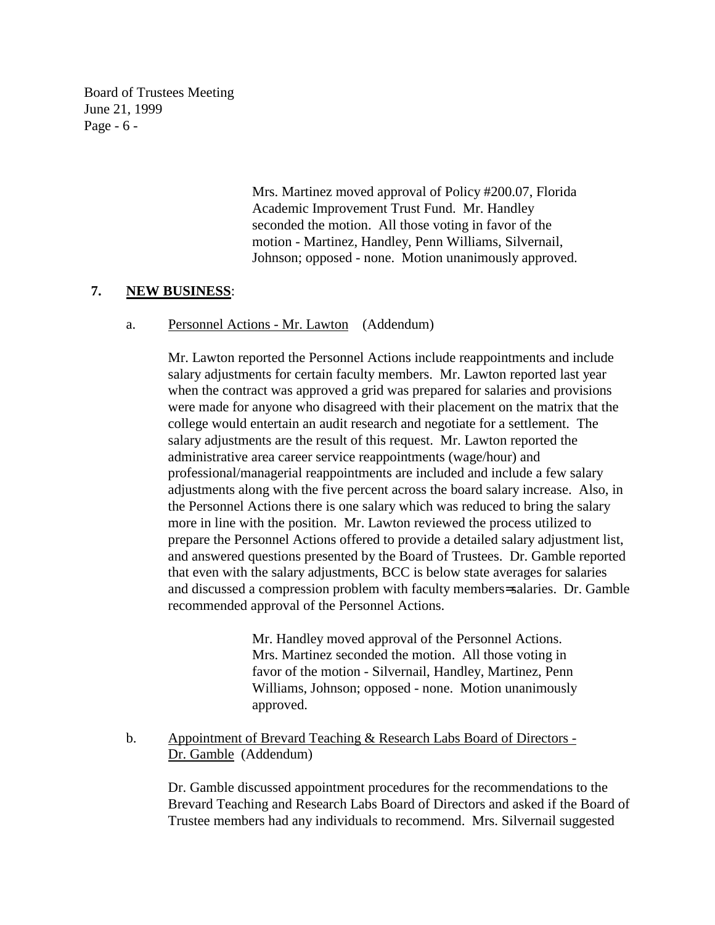Board of Trustees Meeting June 21, 1999 Page - 6 -

> Mrs. Martinez moved approval of Policy #200.07, Florida Academic Improvement Trust Fund. Mr. Handley seconded the motion. All those voting in favor of the motion - Martinez, Handley, Penn Williams, Silvernail, Johnson; opposed - none. Motion unanimously approved.

# **7. NEW BUSINESS**:

a. Personnel Actions - Mr. Lawton (Addendum)

Mr. Lawton reported the Personnel Actions include reappointments and include salary adjustments for certain faculty members. Mr. Lawton reported last year when the contract was approved a grid was prepared for salaries and provisions were made for anyone who disagreed with their placement on the matrix that the college would entertain an audit research and negotiate for a settlement. The salary adjustments are the result of this request. Mr. Lawton reported the administrative area career service reappointments (wage/hour) and professional/managerial reappointments are included and include a few salary adjustments along with the five percent across the board salary increase. Also, in the Personnel Actions there is one salary which was reduced to bring the salary more in line with the position. Mr. Lawton reviewed the process utilized to prepare the Personnel Actions offered to provide a detailed salary adjustment list, and answered questions presented by the Board of Trustees. Dr. Gamble reported that even with the salary adjustments, BCC is below state averages for salaries and discussed a compression problem with faculty members= salaries. Dr. Gamble recommended approval of the Personnel Actions.

> Mr. Handley moved approval of the Personnel Actions. Mrs. Martinez seconded the motion. All those voting in favor of the motion - Silvernail, Handley, Martinez, Penn Williams, Johnson; opposed - none. Motion unanimously approved.

b. Appointment of Brevard Teaching & Research Labs Board of Directors - Dr. Gamble (Addendum)

Dr. Gamble discussed appointment procedures for the recommendations to the Brevard Teaching and Research Labs Board of Directors and asked if the Board of Trustee members had any individuals to recommend. Mrs. Silvernail suggested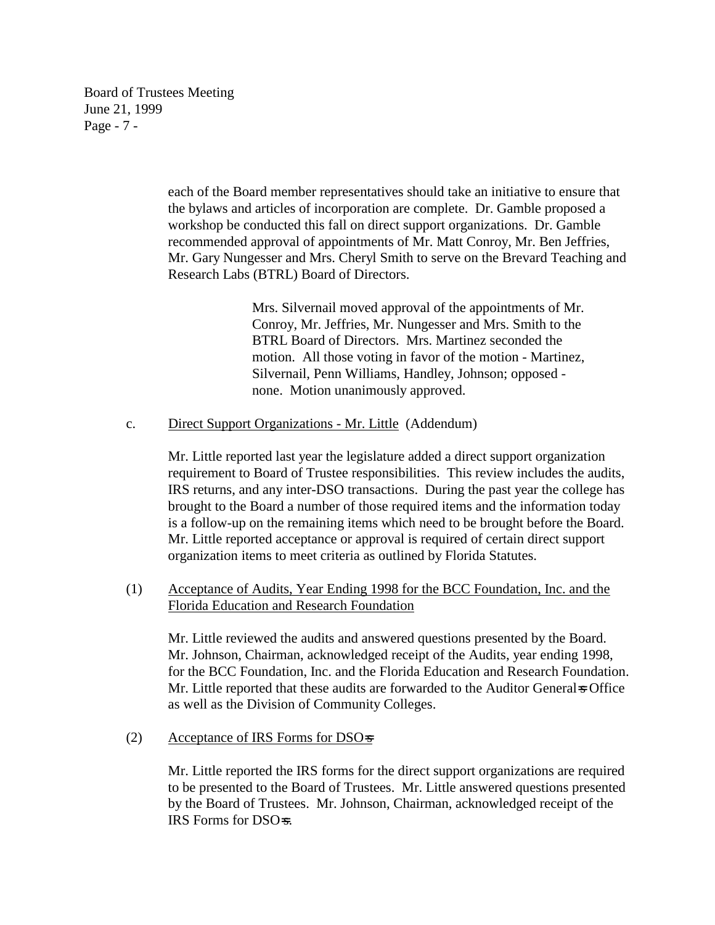Board of Trustees Meeting June 21, 1999 Page - 7 -

> each of the Board member representatives should take an initiative to ensure that the bylaws and articles of incorporation are complete. Dr. Gamble proposed a workshop be conducted this fall on direct support organizations. Dr. Gamble recommended approval of appointments of Mr. Matt Conroy, Mr. Ben Jeffries, Mr. Gary Nungesser and Mrs. Cheryl Smith to serve on the Brevard Teaching and Research Labs (BTRL) Board of Directors.

> > Mrs. Silvernail moved approval of the appointments of Mr. Conroy, Mr. Jeffries, Mr. Nungesser and Mrs. Smith to the BTRL Board of Directors. Mrs. Martinez seconded the motion. All those voting in favor of the motion - Martinez, Silvernail, Penn Williams, Handley, Johnson; opposed none. Motion unanimously approved.

c. Direct Support Organizations - Mr. Little (Addendum)

Mr. Little reported last year the legislature added a direct support organization requirement to Board of Trustee responsibilities. This review includes the audits, IRS returns, and any inter-DSO transactions. During the past year the college has brought to the Board a number of those required items and the information today is a follow-up on the remaining items which need to be brought before the Board. Mr. Little reported acceptance or approval is required of certain direct support organization items to meet criteria as outlined by Florida Statutes.

(1) Acceptance of Audits, Year Ending 1998 for the BCC Foundation, Inc. and the Florida Education and Research Foundation

Mr. Little reviewed the audits and answered questions presented by the Board. Mr. Johnson, Chairman, acknowledged receipt of the Audits, year ending 1998, for the BCC Foundation, Inc. and the Florida Education and Research Foundation. Mr. Little reported that these audits are forwarded to the Auditor General=s Office as well as the Division of Community Colleges.

(2) Acceptance of IRS Forms for DSO $\equiv$ 

Mr. Little reported the IRS forms for the direct support organizations are required to be presented to the Board of Trustees. Mr. Little answered questions presented by the Board of Trustees. Mr. Johnson, Chairman, acknowledged receipt of the IRS Forms for DSO=s.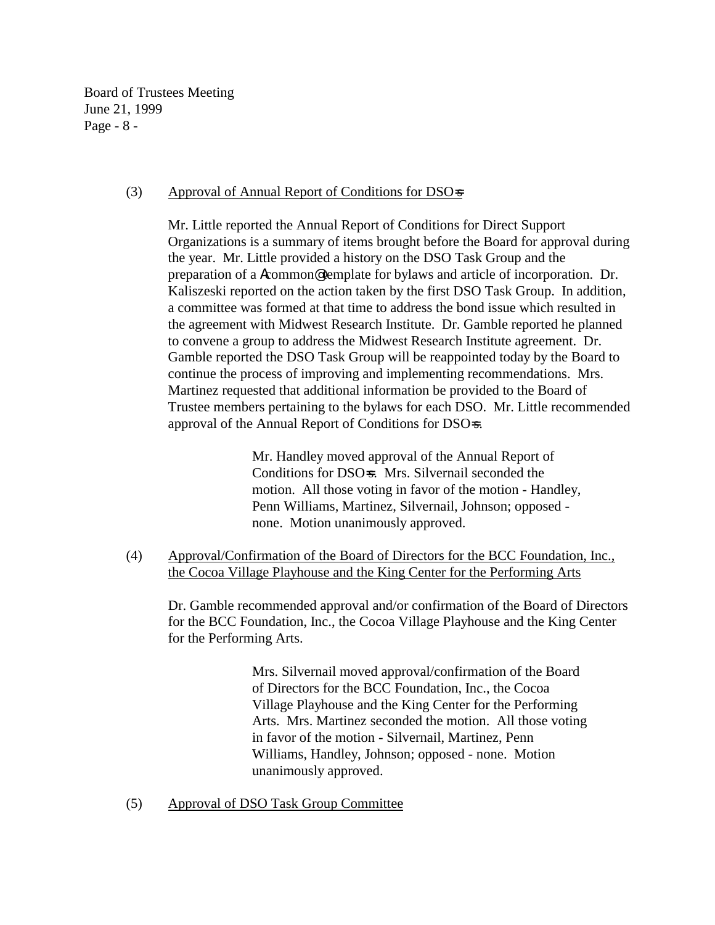Board of Trustees Meeting June 21, 1999 Page - 8 -

### (3) Approval of Annual Report of Conditions for DSO=s

Mr. Little reported the Annual Report of Conditions for Direct Support Organizations is a summary of items brought before the Board for approval during the year. Mr. Little provided a history on the DSO Task Group and the preparation of a Acommon@ template for bylaws and article of incorporation. Dr. Kaliszeski reported on the action taken by the first DSO Task Group. In addition, a committee was formed at that time to address the bond issue which resulted in the agreement with Midwest Research Institute. Dr. Gamble reported he planned to convene a group to address the Midwest Research Institute agreement. Dr. Gamble reported the DSO Task Group will be reappointed today by the Board to continue the process of improving and implementing recommendations. Mrs. Martinez requested that additional information be provided to the Board of Trustee members pertaining to the bylaws for each DSO. Mr. Little recommended approval of the Annual Report of Conditions for DSO=s.

> Mr. Handley moved approval of the Annual Report of Conditions for DSO=s. Mrs. Silvernail seconded the motion. All those voting in favor of the motion - Handley, Penn Williams, Martinez, Silvernail, Johnson; opposed none. Motion unanimously approved.

(4) Approval/Confirmation of the Board of Directors for the BCC Foundation, Inc., the Cocoa Village Playhouse and the King Center for the Performing Arts

Dr. Gamble recommended approval and/or confirmation of the Board of Directors for the BCC Foundation, Inc., the Cocoa Village Playhouse and the King Center for the Performing Arts.

> Mrs. Silvernail moved approval/confirmation of the Board of Directors for the BCC Foundation, Inc., the Cocoa Village Playhouse and the King Center for the Performing Arts. Mrs. Martinez seconded the motion. All those voting in favor of the motion - Silvernail, Martinez, Penn Williams, Handley, Johnson; opposed - none. Motion unanimously approved.

(5) Approval of DSO Task Group Committee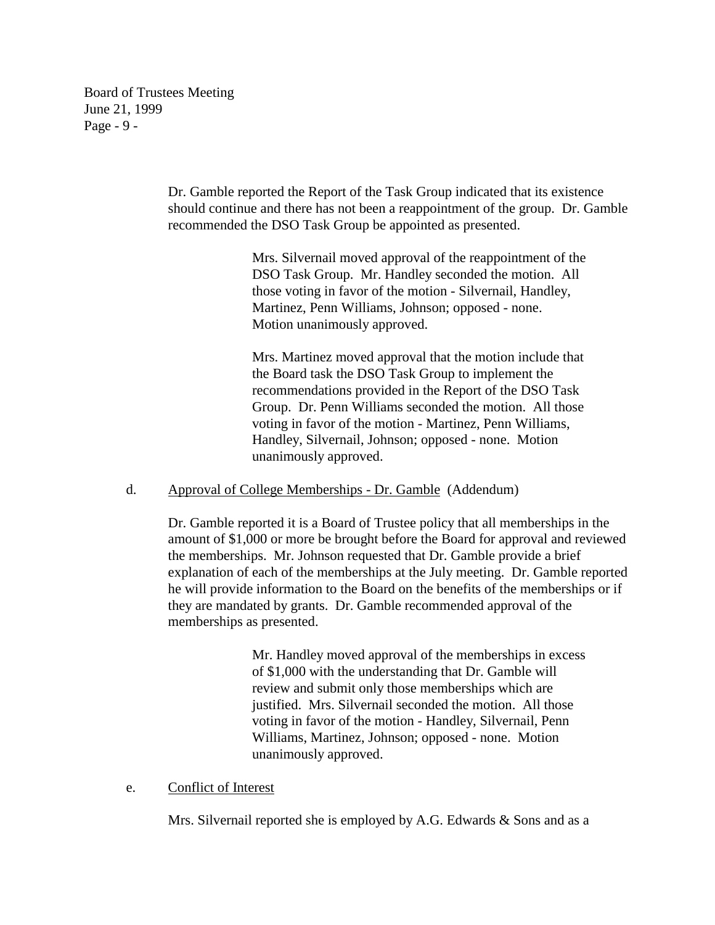Board of Trustees Meeting June 21, 1999 Page - 9 -

> Dr. Gamble reported the Report of the Task Group indicated that its existence should continue and there has not been a reappointment of the group. Dr. Gamble recommended the DSO Task Group be appointed as presented.

> > Mrs. Silvernail moved approval of the reappointment of the DSO Task Group. Mr. Handley seconded the motion. All those voting in favor of the motion - Silvernail, Handley, Martinez, Penn Williams, Johnson; opposed - none. Motion unanimously approved.

> > Mrs. Martinez moved approval that the motion include that the Board task the DSO Task Group to implement the recommendations provided in the Report of the DSO Task Group. Dr. Penn Williams seconded the motion. All those voting in favor of the motion - Martinez, Penn Williams, Handley, Silvernail, Johnson; opposed - none. Motion unanimously approved.

# d. Approval of College Memberships - Dr. Gamble (Addendum)

Dr. Gamble reported it is a Board of Trustee policy that all memberships in the amount of \$1,000 or more be brought before the Board for approval and reviewed the memberships. Mr. Johnson requested that Dr. Gamble provide a brief explanation of each of the memberships at the July meeting. Dr. Gamble reported he will provide information to the Board on the benefits of the memberships or if they are mandated by grants. Dr. Gamble recommended approval of the memberships as presented.

> Mr. Handley moved approval of the memberships in excess of \$1,000 with the understanding that Dr. Gamble will review and submit only those memberships which are justified. Mrs. Silvernail seconded the motion. All those voting in favor of the motion - Handley, Silvernail, Penn Williams, Martinez, Johnson; opposed - none. Motion unanimously approved.

# e. Conflict of Interest

Mrs. Silvernail reported she is employed by A.G. Edwards & Sons and as a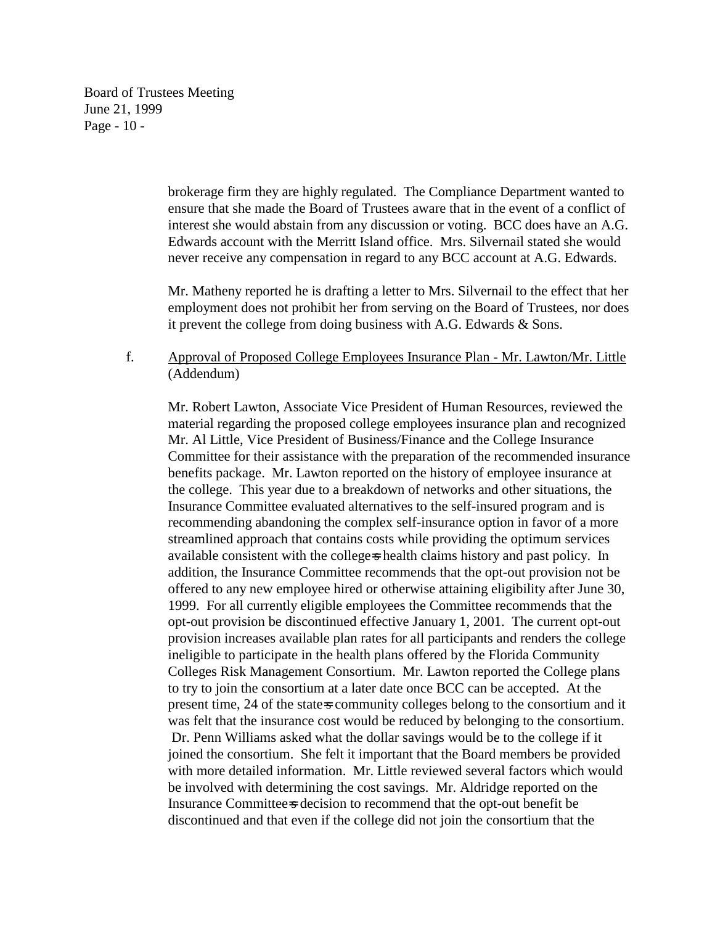Board of Trustees Meeting June 21, 1999 Page - 10 -

> brokerage firm they are highly regulated. The Compliance Department wanted to ensure that she made the Board of Trustees aware that in the event of a conflict of interest she would abstain from any discussion or voting. BCC does have an A.G. Edwards account with the Merritt Island office. Mrs. Silvernail stated she would never receive any compensation in regard to any BCC account at A.G. Edwards.

> Mr. Matheny reported he is drafting a letter to Mrs. Silvernail to the effect that her employment does not prohibit her from serving on the Board of Trustees, nor does it prevent the college from doing business with A.G. Edwards & Sons.

# f. Approval of Proposed College Employees Insurance Plan - Mr. Lawton/Mr. Little (Addendum)

Mr. Robert Lawton, Associate Vice President of Human Resources, reviewed the material regarding the proposed college employees insurance plan and recognized Mr. Al Little, Vice President of Business/Finance and the College Insurance Committee for their assistance with the preparation of the recommended insurance benefits package. Mr. Lawton reported on the history of employee insurance at the college. This year due to a breakdown of networks and other situations, the Insurance Committee evaluated alternatives to the self-insured program and is recommending abandoning the complex self-insurance option in favor of a more streamlined approach that contains costs while providing the optimum services available consistent with the college=s health claims history and past policy. In addition, the Insurance Committee recommends that the opt-out provision not be offered to any new employee hired or otherwise attaining eligibility after June 30, 1999. For all currently eligible employees the Committee recommends that the opt-out provision be discontinued effective January 1, 2001. The current opt-out provision increases available plan rates for all participants and renders the college ineligible to participate in the health plans offered by the Florida Community Colleges Risk Management Consortium. Mr. Lawton reported the College plans to try to join the consortium at a later date once BCC can be accepted. At the present time, 24 of the state=s community colleges belong to the consortium and it was felt that the insurance cost would be reduced by belonging to the consortium. Dr. Penn Williams asked what the dollar savings would be to the college if it joined the consortium. She felt it important that the Board members be provided with more detailed information. Mr. Little reviewed several factors which would be involved with determining the cost savings. Mr. Aldridge reported on the Insurance Committee-s decision to recommend that the opt-out benefit be discontinued and that even if the college did not join the consortium that the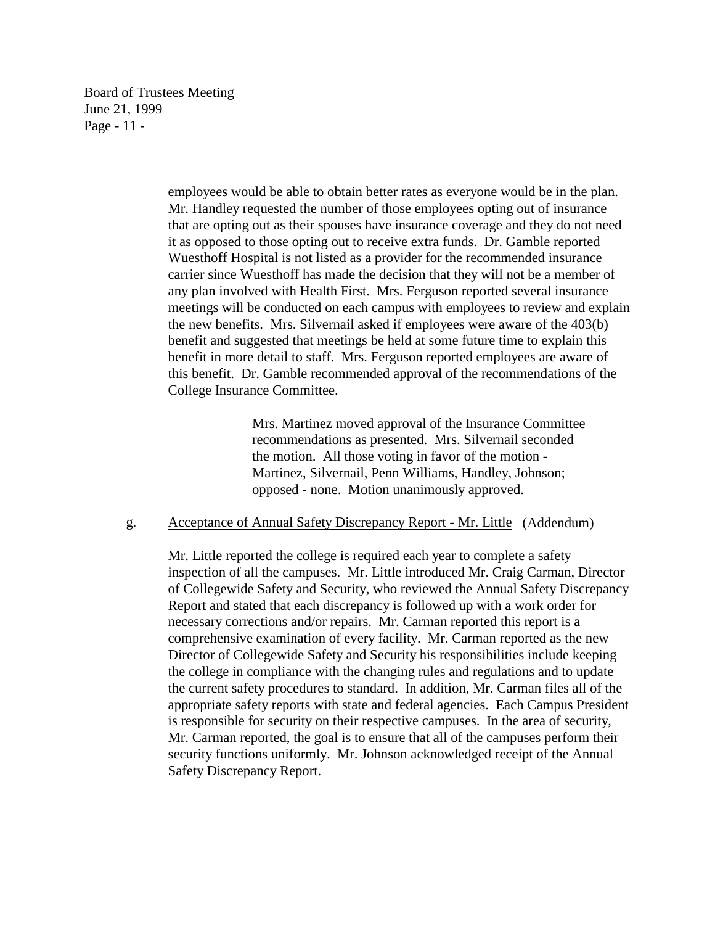Board of Trustees Meeting June 21, 1999 Page - 11 -

> employees would be able to obtain better rates as everyone would be in the plan. Mr. Handley requested the number of those employees opting out of insurance that are opting out as their spouses have insurance coverage and they do not need it as opposed to those opting out to receive extra funds. Dr. Gamble reported Wuesthoff Hospital is not listed as a provider for the recommended insurance carrier since Wuesthoff has made the decision that they will not be a member of any plan involved with Health First. Mrs. Ferguson reported several insurance meetings will be conducted on each campus with employees to review and explain the new benefits. Mrs. Silvernail asked if employees were aware of the 403(b) benefit and suggested that meetings be held at some future time to explain this benefit in more detail to staff. Mrs. Ferguson reported employees are aware of this benefit. Dr. Gamble recommended approval of the recommendations of the College Insurance Committee.

> > Mrs. Martinez moved approval of the Insurance Committee recommendations as presented. Mrs. Silvernail seconded the motion. All those voting in favor of the motion - Martinez, Silvernail, Penn Williams, Handley, Johnson; opposed - none. Motion unanimously approved.

#### g. Acceptance of Annual Safety Discrepancy Report - Mr. Little (Addendum)

Mr. Little reported the college is required each year to complete a safety inspection of all the campuses. Mr. Little introduced Mr. Craig Carman, Director of Collegewide Safety and Security, who reviewed the Annual Safety Discrepancy Report and stated that each discrepancy is followed up with a work order for necessary corrections and/or repairs. Mr. Carman reported this report is a comprehensive examination of every facility. Mr. Carman reported as the new Director of Collegewide Safety and Security his responsibilities include keeping the college in compliance with the changing rules and regulations and to update the current safety procedures to standard. In addition, Mr. Carman files all of the appropriate safety reports with state and federal agencies. Each Campus President is responsible for security on their respective campuses. In the area of security, Mr. Carman reported, the goal is to ensure that all of the campuses perform their security functions uniformly. Mr. Johnson acknowledged receipt of the Annual Safety Discrepancy Report.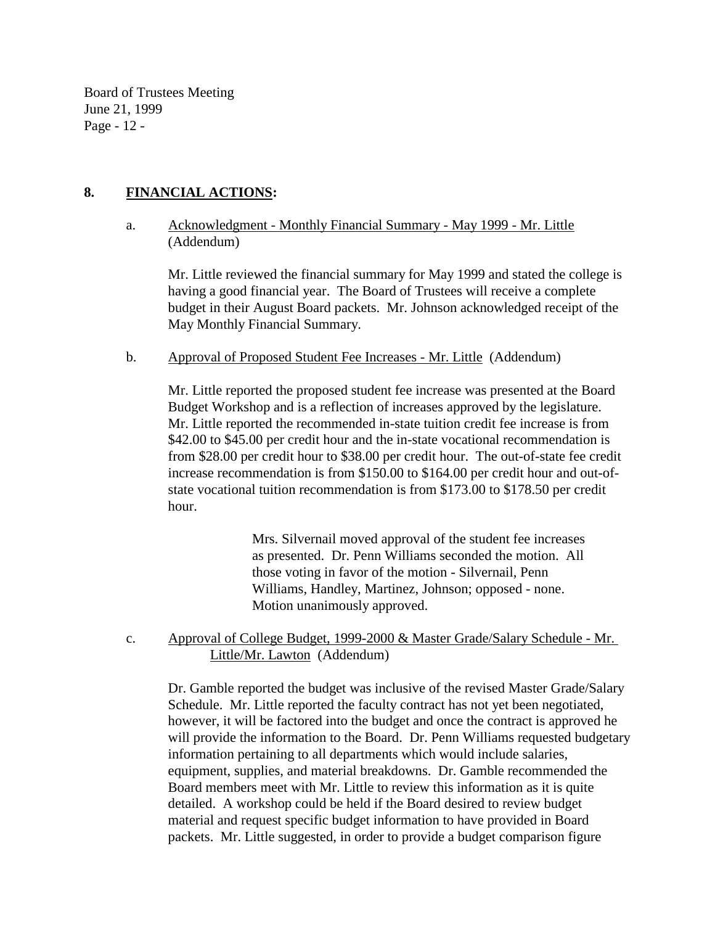Board of Trustees Meeting June 21, 1999 Page - 12 -

# **8. FINANCIAL ACTIONS:**

a. Acknowledgment - Monthly Financial Summary - May 1999 - Mr. Little (Addendum)

Mr. Little reviewed the financial summary for May 1999 and stated the college is having a good financial year. The Board of Trustees will receive a complete budget in their August Board packets. Mr. Johnson acknowledged receipt of the May Monthly Financial Summary.

b. Approval of Proposed Student Fee Increases - Mr. Little (Addendum)

Mr. Little reported the proposed student fee increase was presented at the Board Budget Workshop and is a reflection of increases approved by the legislature. Mr. Little reported the recommended in-state tuition credit fee increase is from \$42.00 to \$45.00 per credit hour and the in-state vocational recommendation is from \$28.00 per credit hour to \$38.00 per credit hour. The out-of-state fee credit increase recommendation is from \$150.00 to \$164.00 per credit hour and out-ofstate vocational tuition recommendation is from \$173.00 to \$178.50 per credit hour.

> Mrs. Silvernail moved approval of the student fee increases as presented. Dr. Penn Williams seconded the motion. All those voting in favor of the motion - Silvernail, Penn Williams, Handley, Martinez, Johnson; opposed - none. Motion unanimously approved.

c. Approval of College Budget, 1999-2000 & Master Grade/Salary Schedule - Mr. Little/Mr. Lawton (Addendum)

Dr. Gamble reported the budget was inclusive of the revised Master Grade/Salary Schedule. Mr. Little reported the faculty contract has not yet been negotiated, however, it will be factored into the budget and once the contract is approved he will provide the information to the Board. Dr. Penn Williams requested budgetary information pertaining to all departments which would include salaries, equipment, supplies, and material breakdowns. Dr. Gamble recommended the Board members meet with Mr. Little to review this information as it is quite detailed. A workshop could be held if the Board desired to review budget material and request specific budget information to have provided in Board packets. Mr. Little suggested, in order to provide a budget comparison figure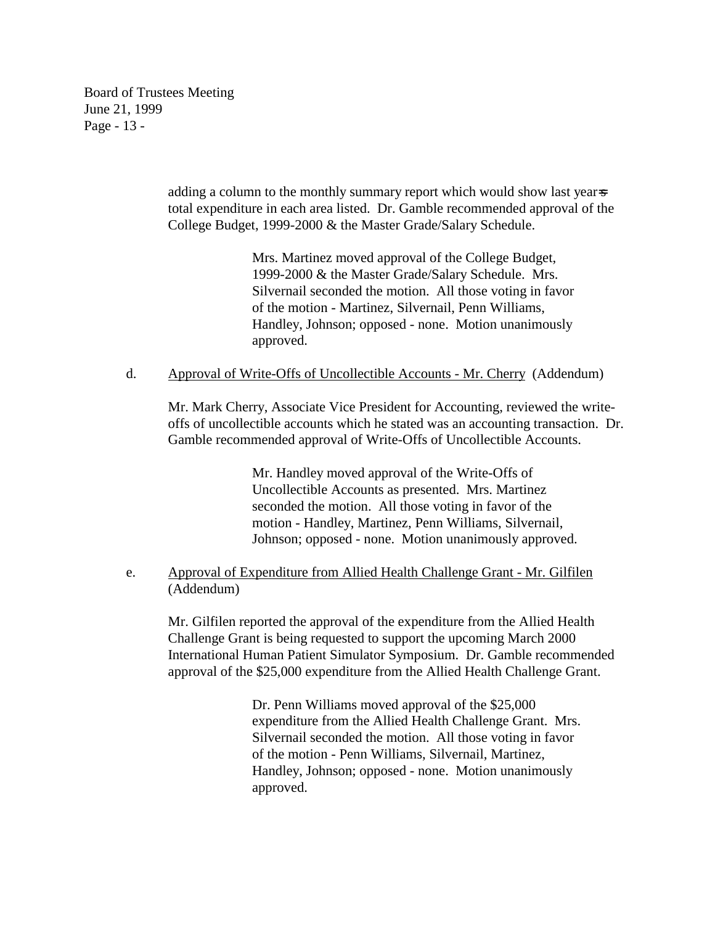Board of Trustees Meeting June 21, 1999 Page - 13 -

> adding a column to the monthly summary report which would show last year-s total expenditure in each area listed. Dr. Gamble recommended approval of the College Budget, 1999-2000 & the Master Grade/Salary Schedule.

> > Mrs. Martinez moved approval of the College Budget, 1999-2000 & the Master Grade/Salary Schedule. Mrs. Silvernail seconded the motion. All those voting in favor of the motion - Martinez, Silvernail, Penn Williams, Handley, Johnson; opposed - none. Motion unanimously approved.

# d. Approval of Write-Offs of Uncollectible Accounts - Mr. Cherry (Addendum)

Mr. Mark Cherry, Associate Vice President for Accounting, reviewed the writeoffs of uncollectible accounts which he stated was an accounting transaction. Dr. Gamble recommended approval of Write-Offs of Uncollectible Accounts.

> Mr. Handley moved approval of the Write-Offs of Uncollectible Accounts as presented. Mrs. Martinez seconded the motion. All those voting in favor of the motion - Handley, Martinez, Penn Williams, Silvernail, Johnson; opposed - none. Motion unanimously approved.

# e. Approval of Expenditure from Allied Health Challenge Grant - Mr. Gilfilen (Addendum)

Mr. Gilfilen reported the approval of the expenditure from the Allied Health Challenge Grant is being requested to support the upcoming March 2000 International Human Patient Simulator Symposium. Dr. Gamble recommended approval of the \$25,000 expenditure from the Allied Health Challenge Grant.

> Dr. Penn Williams moved approval of the \$25,000 expenditure from the Allied Health Challenge Grant. Mrs. Silvernail seconded the motion. All those voting in favor of the motion - Penn Williams, Silvernail, Martinez, Handley, Johnson; opposed - none. Motion unanimously approved.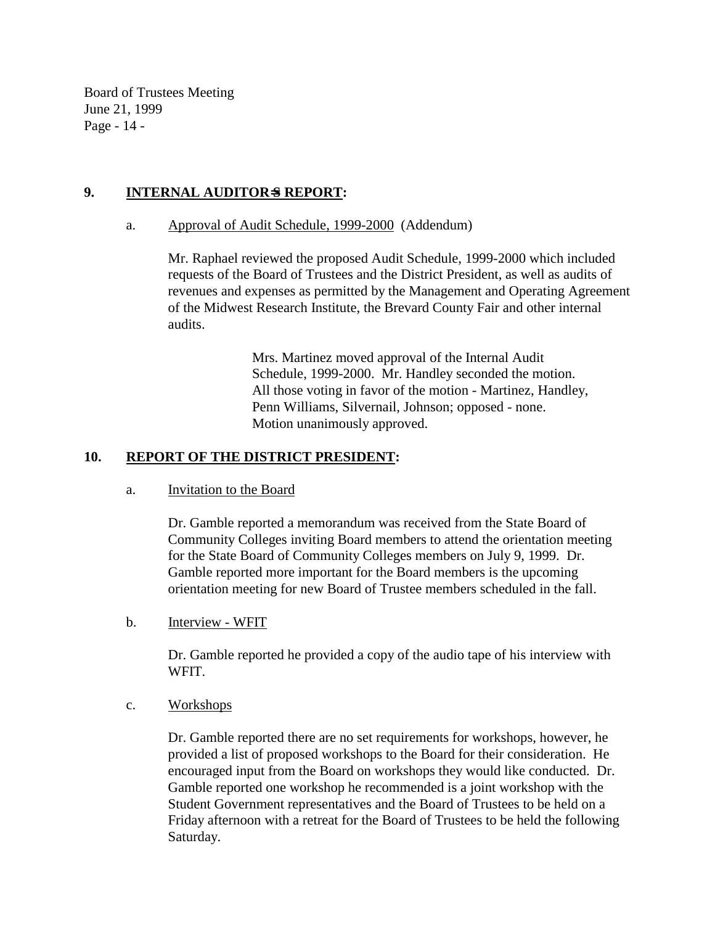Board of Trustees Meeting June 21, 1999 Page - 14 -

# **9. INTERNAL AUDITOR**=**S REPORT:**

### a. Approval of Audit Schedule, 1999-2000 (Addendum)

Mr. Raphael reviewed the proposed Audit Schedule, 1999-2000 which included requests of the Board of Trustees and the District President, as well as audits of revenues and expenses as permitted by the Management and Operating Agreement of the Midwest Research Institute, the Brevard County Fair and other internal audits.

> Mrs. Martinez moved approval of the Internal Audit Schedule, 1999-2000. Mr. Handley seconded the motion. All those voting in favor of the motion - Martinez, Handley, Penn Williams, Silvernail, Johnson; opposed - none. Motion unanimously approved.

# **10. REPORT OF THE DISTRICT PRESIDENT:**

#### a. Invitation to the Board

Dr. Gamble reported a memorandum was received from the State Board of Community Colleges inviting Board members to attend the orientation meeting for the State Board of Community Colleges members on July 9, 1999. Dr. Gamble reported more important for the Board members is the upcoming orientation meeting for new Board of Trustee members scheduled in the fall.

b. Interview - WFIT

Dr. Gamble reported he provided a copy of the audio tape of his interview with WFIT.

c. Workshops

Dr. Gamble reported there are no set requirements for workshops, however, he provided a list of proposed workshops to the Board for their consideration. He encouraged input from the Board on workshops they would like conducted. Dr. Gamble reported one workshop he recommended is a joint workshop with the Student Government representatives and the Board of Trustees to be held on a Friday afternoon with a retreat for the Board of Trustees to be held the following Saturday.